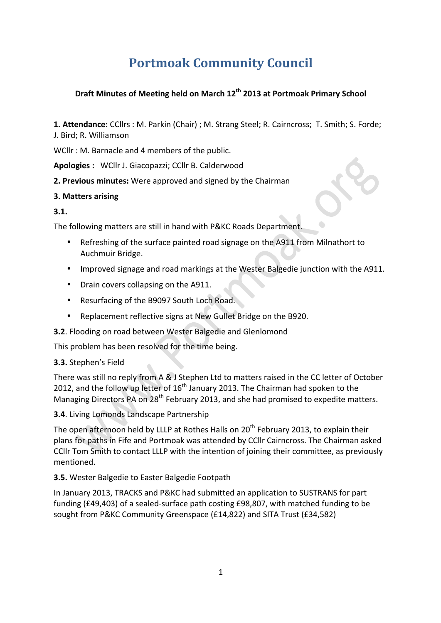# **Portmoak Community Council**

## **Draft Minutes of Meeting held on March 12th 2013 at Portmoak Primary School**

**1. Attendance:** CCllrs : M. Parkin (Chair) ; M. Strang Steel; R. Cairncross; T. Smith; S. Forde; J. Bird: R. Williamson

WCllr : M. Barnacle and 4 members of the public.

Apologies : WCllr J. Giacopazzi; CCllr B. Calderwood

**2. Previous minutes:** Were approved and signed by the Chairman

## **3. Matters arising**

## **3.1.**

The following matters are still in hand with P&KC Roads Department.

- Refreshing of the surface painted road signage on the A911 from Milnathort to Auchmuir Bridge.
- Improved signage and road markings at the Wester Balgedie junction with the A911.
- Drain covers collapsing on the A911.
- Resurfacing of the B9097 South Loch Road.
- Replacement reflective signs at New Gullet Bridge on the B920.
- **3.2**. Flooding on road between Wester Balgedie and Glenlomond

This problem has been resolved for the time being.

#### **3.3.** Stephen's Field

There was still no reply from A & J Stephen Ltd to matters raised in the CC letter of October 2012, and the follow up letter of  $16<sup>th</sup>$  January 2013. The Chairman had spoken to the Managing Directors PA on 28<sup>th</sup> February 2013, and she had promised to expedite matters.

**3.4**. Living Lomonds Landscape Partnership

The open afternoon held by LLLP at Rothes Halls on  $20^{th}$  February 2013, to explain their plans for paths in Fife and Portmoak was attended by CCllr Cairncross. The Chairman asked CCIIr Tom Smith to contact LLLP with the intention of joining their committee, as previously mentioned.

**3.5.** Wester Balgedie to Easter Balgedie Footpath

In January 2013, TRACKS and P&KC had submitted an application to SUSTRANS for part funding (£49,403) of a sealed-surface path costing £98,807, with matched funding to be sought from P&KC Community Greenspace (£14,822) and SITA Trust (£34,582)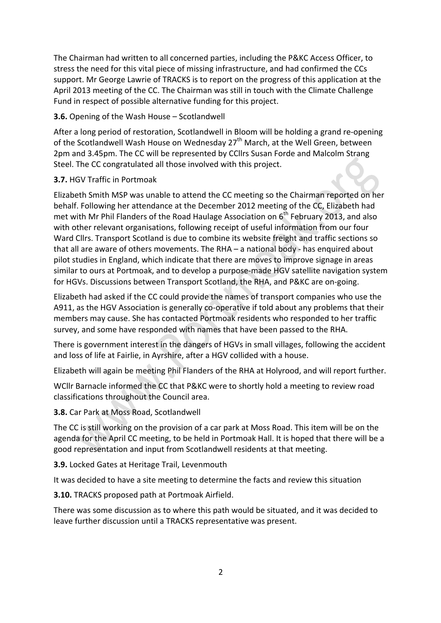The Chairman had written to all concerned parties, including the P&KC Access Officer, to stress the need for this vital piece of missing infrastructure, and had confirmed the CCs support. Mr George Lawrie of TRACKS is to report on the progress of this application at the April 2013 meeting of the CC. The Chairman was still in touch with the Climate Challenge Fund in respect of possible alternative funding for this project.

#### **3.6.** Opening of the Wash House – Scotlandwell

After a long period of restoration, Scotlandwell in Bloom will be holding a grand re-opening of the Scotlandwell Wash House on Wednesday 27<sup>th</sup> March, at the Well Green, between 2pm and 3.45pm. The CC will be represented by CCllrs Susan Forde and Malcolm Strang Steel. The CC congratulated all those involved with this project.

#### **3.7.** HGV Traffic in Portmoak

Elizabeth Smith MSP was unable to attend the CC meeting so the Chairman reported on her behalf. Following her attendance at the December 2012 meeting of the CC, Elizabeth had met with Mr Phil Flanders of the Road Haulage Association on  $6<sup>th</sup>$  February 2013, and also with other relevant organisations, following receipt of useful information from our four Ward Cllrs. Transport Scotland is due to combine its website freight and traffic sections so that all are aware of others movements. The RHA  $-$  a national body - has enquired about pilot studies in England, which indicate that there are moves to improve signage in areas similar to ours at Portmoak, and to develop a purpose-made HGV satellite navigation system for HGVs. Discussions between Transport Scotland, the RHA, and P&KC are on-going.

Elizabeth had asked if the CC could provide the names of transport companies who use the A911, as the HGV Association is generally co-operative if told about any problems that their members may cause. She has contacted Portmoak residents who responded to her traffic survey, and some have responded with names that have been passed to the RHA.

There is government interest in the dangers of HGVs in small villages, following the accident and loss of life at Fairlie, in Ayrshire, after a HGV collided with a house.

Elizabeth will again be meeting Phil Flanders of the RHA at Holyrood, and will report further.

WCIIr Barnacle informed the CC that P&KC were to shortly hold a meeting to review road classifications throughout the Council area.

**3.8.** Car Park at Moss Road, Scotlandwell

The CC is still working on the provision of a car park at Moss Road. This item will be on the agenda for the April CC meeting, to be held in Portmoak Hall. It is hoped that there will be a good representation and input from Scotlandwell residents at that meeting.

**3.9.** Locked Gates at Heritage Trail, Levenmouth

It was decided to have a site meeting to determine the facts and review this situation

**3.10.** TRACKS proposed path at Portmoak Airfield.

There was some discussion as to where this path would be situated, and it was decided to leave further discussion until a TRACKS representative was present.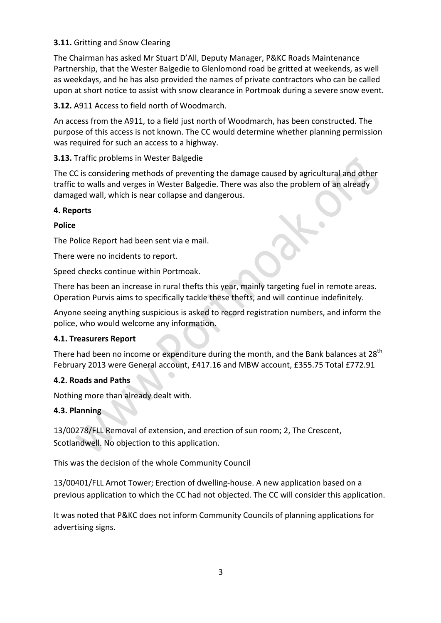## **3.11.** Gritting and Snow Clearing

The Chairman has asked Mr Stuart D'All, Deputy Manager, P&KC Roads Maintenance Partnership, that the Wester Balgedie to Glenlomond road be gritted at weekends, as well as weekdays, and he has also provided the names of private contractors who can be called upon at short notice to assist with snow clearance in Portmoak during a severe snow event.

**3.12.** A911 Access to field north of Woodmarch.

An access from the A911, to a field just north of Woodmarch, has been constructed. The purpose of this access is not known. The CC would determine whether planning permission was required for such an access to a highway.

**3.13.** Traffic problems in Wester Balgedie

The CC is considering methods of preventing the damage caused by agricultural and other traffic to walls and verges in Wester Balgedie. There was also the problem of an already damaged wall, which is near collapse and dangerous.

#### **4. Reports**

#### **Police**

The Police Report had been sent via e mail.

There were no incidents to report.

Speed checks continue within Portmoak.

There has been an increase in rural thefts this year, mainly targeting fuel in remote areas. Operation Purvis aims to specifically tackle these thefts, and will continue indefinitely.

Anyone seeing anything suspicious is asked to record registration numbers, and inform the police, who would welcome any information.

#### **4.1. Treasurers Report**

There had been no income or expenditure during the month, and the Bank balances at  $28<sup>th</sup>$ February 2013 were General account, £417.16 and MBW account, £355.75 Total £772.91

#### **4.2. Roads and Paths**

Nothing more than already dealt with.

#### **4.3. Planning**

13/00278/FLL Removal of extension, and erection of sun room; 2, The Crescent, Scotlandwell. No objection to this application.

This was the decision of the whole Community Council

13/00401/FLL Arnot Tower; Erection of dwelling-house. A new application based on a previous application to which the CC had not objected. The CC will consider this application.

It was noted that P&KC does not inform Community Councils of planning applications for advertising signs.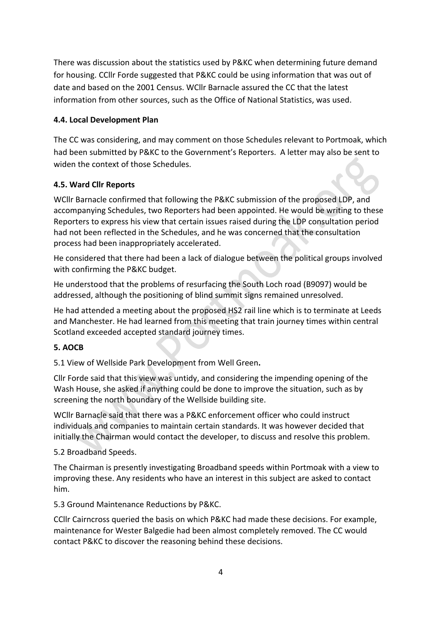There was discussion about the statistics used by P&KC when determining future demand for housing. CCllr Forde suggested that P&KC could be using information that was out of date and based on the 2001 Census. WCllr Barnacle assured the CC that the latest information from other sources, such as the Office of National Statistics, was used.

## **4.4. Local Development Plan**

The CC was considering, and may comment on those Schedules relevant to Portmoak, which had been submitted by P&KC to the Government's Reporters. A letter may also be sent to widen the context of those Schedules.

## **4.5. Ward Cllr Reports**

WCllr Barnacle confirmed that following the P&KC submission of the proposed LDP, and accompanying Schedules, two Reporters had been appointed. He would be writing to these Reporters to express his view that certain issues raised during the LDP consultation period had not been reflected in the Schedules, and he was concerned that the consultation process had been inappropriately accelerated.

He considered that there had been a lack of dialogue between the political groups involved with confirming the P&KC budget.

He understood that the problems of resurfacing the South Loch road (B9097) would be addressed, although the positioning of blind summit signs remained unresolved.

He had attended a meeting about the proposed HS2 rail line which is to terminate at Leeds and Manchester. He had learned from this meeting that train journey times within central Scotland exceeded accepted standard journey times.

#### **5. AOCB**

5.1 View of Wellside Park Development from Well Green**.** 

Cllr Forde said that this view was untidy, and considering the impending opening of the Wash House, she asked if anything could be done to improve the situation, such as by screening the north boundary of the Wellside building site.

WCllr Barnacle said that there was a P&KC enforcement officer who could instruct individuals and companies to maintain certain standards. It was however decided that initially the Chairman would contact the developer, to discuss and resolve this problem.

#### 5.2 Broadband Speeds.

The Chairman is presently investigating Broadband speeds within Portmoak with a view to improving these. Any residents who have an interest in this subject are asked to contact him.

5.3 Ground Maintenance Reductions by P&KC.

CCIIr Cairncross queried the basis on which P&KC had made these decisions. For example, maintenance for Wester Balgedie had been almost completely removed. The CC would contact P&KC to discover the reasoning behind these decisions.